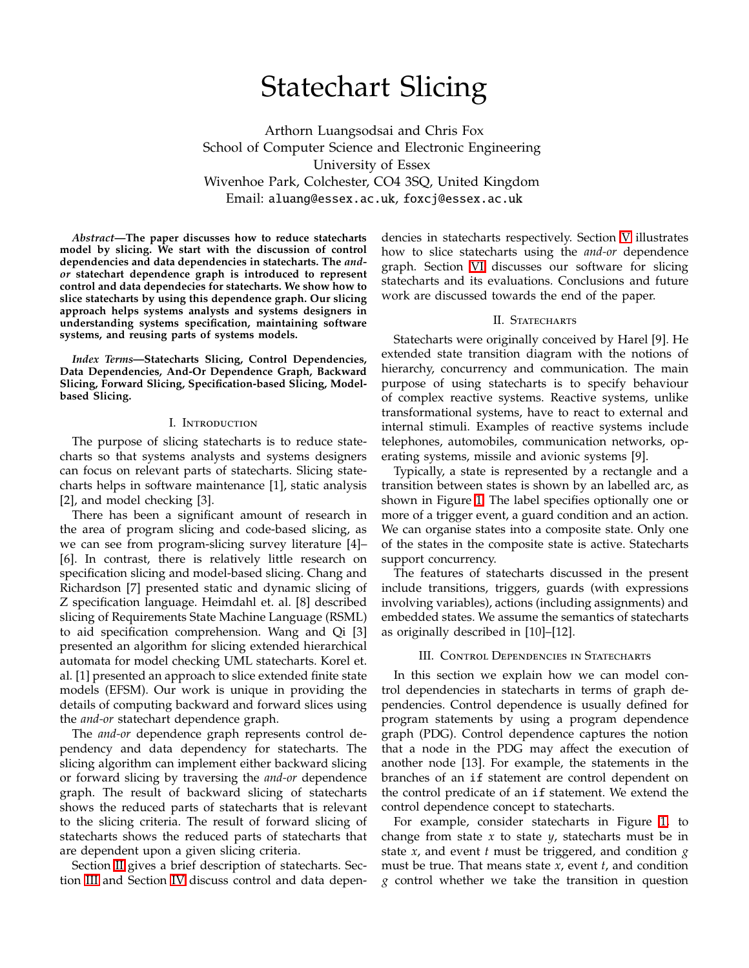# Statechart Slicing

Arthorn Luangsodsai and Chris Fox School of Computer Science and Electronic Engineering University of Essex Wivenhoe Park, Colchester, CO4 3SQ, United Kingdom Email: aluang@essex.ac.uk, foxcj@essex.ac.uk

*Abstract***—The paper discusses how to reduce statecharts model by slicing. We start with the discussion of control dependencies and data dependencies in statecharts. The** *andor* **statechart dependence graph is introduced to represent control and data dependecies for statecharts. We show how to slice statecharts by using this dependence graph. Our slicing approach helps systems analysts and systems designers in understanding systems specification, maintaining software systems, and reusing parts of systems models.**

*Index Terms***—Statecharts Slicing, Control Dependencies, Data Dependencies, And-Or Dependence Graph, Backward Slicing, Forward Slicing, Specification-based Slicing, Modelbased Slicing.**

## I. I

The purpose of slicing statecharts is to reduce statecharts so that systems analysts and systems designers can focus on relevant parts of statecharts. Slicing statecharts helps in software maintenance [1], static analysis [2], and model checking [3].

There has been a significant amount of research in the area of program slicing and code-based slicing, as we can see from program-slicing survey literature [4]– [6]. In contrast, there is relatively little research on specification slicing and model-based slicing. Chang and Richardson [7] presented static and dynamic slicing of Z specification language. Heimdahl et. al. [8] described slicing of Requirements State Machine Language (RSML) to aid specification comprehension. Wang and Qi [3] presented an algorithm for slicing extended hierarchical automata for model checking UML statecharts. Korel et. al. [1] presented an approach to slice extended finite state models (EFSM). Our work is unique in providing the details of computing backward and forward slices using the *and-or* statechart dependence graph.

The *and-or* dependence graph represents control dependency and data dependency for statecharts. The slicing algorithm can implement either backward slicing or forward slicing by traversing the *and-or* dependence graph. The result of backward slicing of statecharts shows the reduced parts of statecharts that is relevant to the slicing criteria. The result of forward slicing of statecharts shows the reduced parts of statecharts that are dependent upon a given slicing criteria.

Section [II](#page-0-0) gives a brief description of statecharts. Section [III](#page-0-1) and Section [IV](#page-2-0) discuss control and data dependencies in statecharts respectively. Section [V](#page-2-1) illustrates how to slice statecharts using the *and-or* dependence graph. Section [VI](#page-4-0) discusses our software for slicing statecharts and its evaluations. Conclusions and future work are discussed towards the end of the paper.

### II. S

<span id="page-0-0"></span>Statecharts were originally conceived by Harel [9]. He extended state transition diagram with the notions of hierarchy, concurrency and communication. The main purpose of using statecharts is to specify behaviour of complex reactive systems. Reactive systems, unlike transformational systems, have to react to external and internal stimuli. Examples of reactive systems include telephones, automobiles, communication networks, operating systems, missile and avionic systems [9].

Typically, a state is represented by a rectangle and a transition between states is shown by an labelled arc, as shown in Figure [1.](#page-1-0) The label specifies optionally one or more of a trigger event, a guard condition and an action. We can organise states into a composite state. Only one of the states in the composite state is active. Statecharts support concurrency.

The features of statecharts discussed in the present include transitions, triggers, guards (with expressions involving variables), actions (including assignments) and embedded states. We assume the semantics of statecharts as originally described in [10]–[12].

III. C D S

<span id="page-0-1"></span>In this section we explain how we can model control dependencies in statecharts in terms of graph dependencies. Control dependence is usually defined for program statements by using a program dependence graph (PDG). Control dependence captures the notion that a node in the PDG may affect the execution of another node [13]. For example, the statements in the branches of an if statement are control dependent on the control predicate of an if statement. We extend the control dependence concept to statecharts.

For example, consider statecharts in Figure [1,](#page-1-0) to change from state *x* to state *y*, statecharts must be in state *x*, and event *t* must be triggered, and condition *g* must be true. That means state *x*, event *t*, and condition *g* control whether we take the transition in question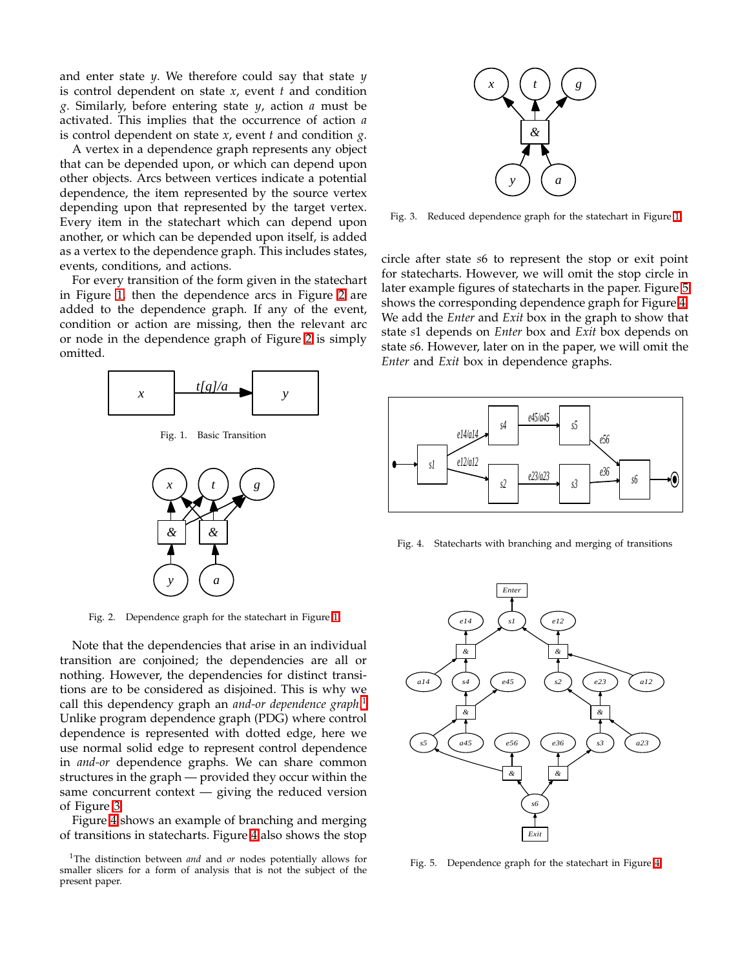and enter state *y*. We therefore could say that state *y* is control dependent on state *x*, event *t* and condition *g*. Similarly, before entering state *y*, action *a* must be activated. This implies that the occurrence of action *a* is control dependent on state *x*, event *t* and condition *g*.

A vertex in a dependence graph represents any object that can be depended upon, or which can depend upon other objects. Arcs between vertices indicate a potential dependence, the item represented by the source vertex depending upon that represented by the target vertex. Every item in the statechart which can depend upon another, or which can be depended upon itself, is added as a vertex to the dependence graph. This includes states, events, conditions, and actions.

For every transition of the form given in the statechart in Figure [1,](#page-1-0) then the dependence arcs in Figure [2](#page-1-1) are added to the dependence graph. If any of the event, condition or action are missing, then the relevant arc or node in the dependence graph of Figure [2](#page-1-1) is simply omitted.



Fig. 1. Basic Transition

<span id="page-1-0"></span>

Fig. 2. Dependence graph for the statechart in Figure [1](#page-1-0)

<span id="page-1-1"></span>Note that the dependencies that arise in an individual transition are conjoined; the dependencies are all or nothing. However, the dependencies for distinct transitions are to be considered as disjoined. This is why we call this dependency graph an *and-or dependence graph*. [1](#page-1-2) Unlike program dependence graph (PDG) where control dependence is represented with dotted edge, here we use normal solid edge to represent control dependence in *and-or* dependence graphs. We can share common structures in the graph — provided they occur within the same concurrent context  $-$  giving the reduced version of Figure [3.](#page-1-3)

Figure [4](#page-1-4) shows an example of branching and merging of transitions in statecharts. Figure [4](#page-1-4) also shows the stop



<span id="page-1-3"></span>Fig. 3. Reduced dependence graph for the statechart in Figure [1](#page-1-0)

circle after state *s*6 to represent the stop or exit point for statecharts. However, we will omit the stop circle in later example figures of statecharts in the paper. Figure [5](#page-1-5) shows the corresponding dependence graph for Figure [4.](#page-1-4) We add the *Enter* and *Exit* box in the graph to show that state *s*1 depends on *Enter* box and *Exit* box depends on state *s*6. However, later on in the paper, we will omit the *Enter* and *Exit* box in dependence graphs.



Fig. 4. Statecharts with branching and merging of transitions

<span id="page-1-4"></span>

<span id="page-1-5"></span>Fig. 5. Dependence graph for the statechart in Figure [4](#page-1-4)

<span id="page-1-2"></span><sup>1</sup>The distinction between *and* and *or* nodes potentially allows for smaller slicers for a form of analysis that is not the subject of the present paper.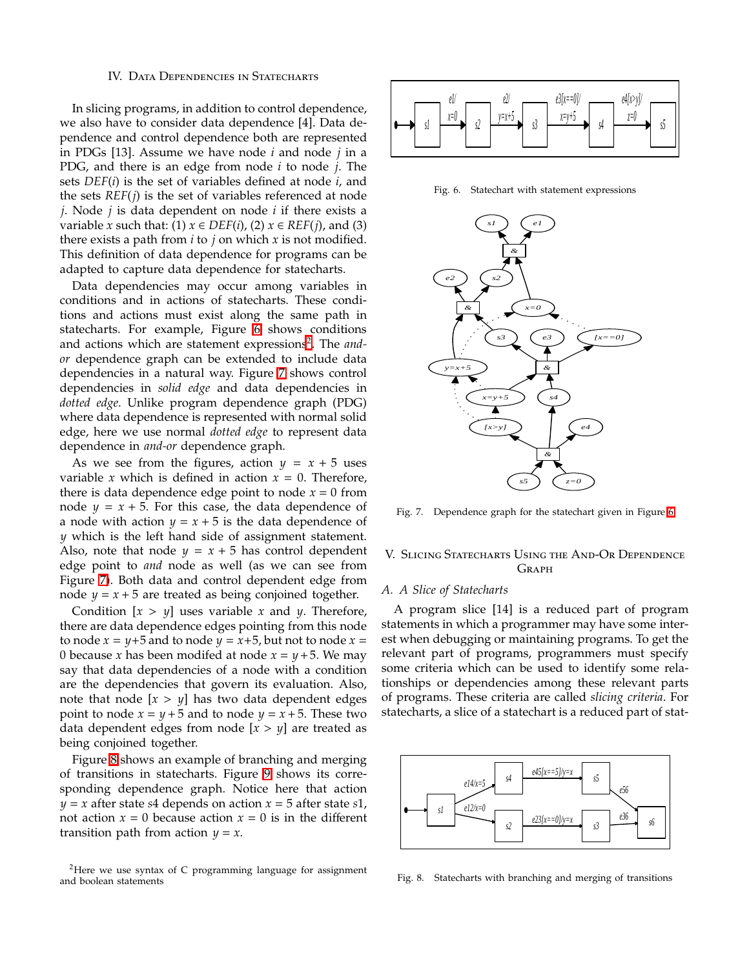<span id="page-2-0"></span>In slicing programs, in addition to control dependence, we also have to consider data dependence [4]. Data dependence and control dependence both are represented in PDGs [13]. Assume we have node *i* and node *j* in a PDG, and there is an edge from node *i* to node *j*. The sets *DEF*(*i*) is the set of variables defined at node *i*, and the sets *REF*(*j*) is the set of variables referenced at node *j*. Node *j* is data dependent on node *i* if there exists a *variable x such that:* (1)  $x \in DEF(i)$ , (2)  $x \in REF(j)$ , and (3) there exists a path from *i* to *j* on which *x* is not modified. This definition of data dependence for programs can be adapted to capture data dependence for statecharts.

Data dependencies may occur among variables in conditions and in actions of statecharts. These conditions and actions must exist along the same path in statecharts. For example, Figure [6](#page-2-2) shows conditions and actions which are statement expressions<sup>[2](#page-2-3)</sup>. The and*or* dependence graph can be extended to include data dependencies in a natural way. Figure [7](#page-2-4) shows control dependencies in *solid edge* and data dependencies in *dotted edge*. Unlike program dependence graph (PDG) where data dependence is represented with normal solid edge, here we use normal *dotted edge* to represent data dependence in *and-or* dependence graph.

As we see from the figures, action  $y = x + 5$  uses variable *x* which is defined in action  $x = 0$ . Therefore, there is data dependence edge point to node  $x = 0$  from node  $y = x + 5$ . For this case, the data dependence of a node with action  $y = x + 5$  is the data dependence of *y* which is the left hand side of assignment statement. Also, note that node  $y = x + 5$  has control dependent edge point to *and* node as well (as we can see from Figure [7\)](#page-2-4). Both data and control dependent edge from node  $y = x + 5$  are treated as being conjoined together.

Condition  $[x > y]$  uses variable *x* and *y*. Therefore, there are data dependence edges pointing from this node to node  $x = y+5$  and to node  $y = x+5$ , but not to node  $x =$ 0 because *x* has been modifed at node  $x = y + 5$ . We may say that data dependencies of a node with a condition are the dependencies that govern its evaluation. Also, note that node  $[x > y]$  has two data dependent edges point to node  $x = y + 5$  and to node  $y = x + 5$ . These two data dependent edges from node [*x* > *y*] are treated as being conjoined together.

Figure [8](#page-2-5) shows an example of branching and merging of transitions in statecharts. Figure [9](#page-3-0) shows its corresponding dependence graph. Notice here that action  $y = x$  after state *s*4 depends on action  $x = 5$  after state *s*1, not action  $x = 0$  because action  $x = 0$  is in the different transition path from action  $y = x$ .

<span id="page-2-3"></span>



Fig. 6. Statechart with statement expressions

<span id="page-2-2"></span>

Fig. 7. Dependence graph for the statechart given in Figure [6](#page-2-2)

<span id="page-2-4"></span><span id="page-2-1"></span>V. Slicing Statecharts Using the And-O Dependence Graph

#### *A. A Slice of Statecharts*

A program slice [14] is a reduced part of program statements in which a programmer may have some interest when debugging or maintaining programs. To get the relevant part of programs, programmers must specify some criteria which can be used to identify some relationships or dependencies among these relevant parts of programs. These criteria are called *slicing criteria*. For statecharts, a slice of a statechart is a reduced part of stat-



<span id="page-2-5"></span>Fig. 8. Statecharts with branching and merging of transitions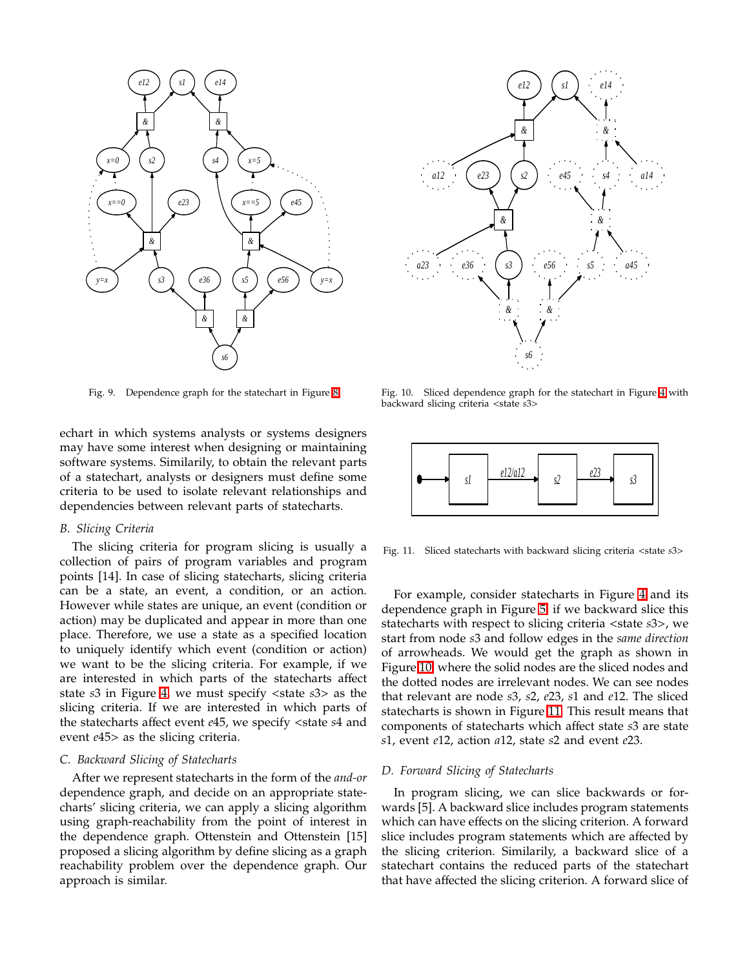

Fig. 9. Dependence graph for the statechart in Figure [8](#page-2-5)

<span id="page-3-0"></span>echart in which systems analysts or systems designers may have some interest when designing or maintaining software systems. Similarily, to obtain the relevant parts of a statechart, analysts or designers must define some criteria to be used to isolate relevant relationships and dependencies between relevant parts of statecharts.

#### *B. Slicing Criteria*

The slicing criteria for program slicing is usually a collection of pairs of program variables and program points [14]. In case of slicing statecharts, slicing criteria can be a state, an event, a condition, or an action. However while states are unique, an event (condition or action) may be duplicated and appear in more than one place. Therefore, we use a state as a specified location to uniquely identify which event (condition or action) we want to be the slicing criteria. For example, if we are interested in which parts of the statecharts affect state *s*3 in Figure [4,](#page-1-4) we must specify <state *s*3> as the slicing criteria. If we are interested in which parts of the statecharts affect event *e*45, we specify <state *s*4 and event *e*45> as the slicing criteria.

## *C. Backward Slicing of Statecharts*

After we represent statecharts in the form of the *and-or* dependence graph, and decide on an appropriate statecharts' slicing criteria, we can apply a slicing algorithm using graph-reachability from the point of interest in the dependence graph. Ottenstein and Ottenstein [15] proposed a slicing algorithm by define slicing as a graph reachability problem over the dependence graph. Our approach is similar.



<span id="page-3-1"></span>Fig. 10. Sliced dependence graph for the statechart in Figure [4](#page-1-4) with backward slicing criteria <state *s*3>



<span id="page-3-2"></span>Fig. 11. Sliced statecharts with backward slicing criteria <state *s*3>

For example, consider statecharts in Figure [4](#page-1-4) and its dependence graph in Figure [5,](#page-1-5) if we backward slice this statecharts with respect to slicing criteria <state *s*3>, we start from node *s*3 and follow edges in the *same direction* of arrowheads. We would get the graph as shown in Figure [10,](#page-3-1) where the solid nodes are the sliced nodes and the dotted nodes are irrelevant nodes. We can see nodes that relevant are node *s*3, *s*2, *e*23, *s*1 and *e*12. The sliced statecharts is shown in Figure [11.](#page-3-2) This result means that components of statecharts which affect state *s*3 are state *s*1, event *e*12, action *a*12, state *s*2 and event *e*23.

#### *D. Forward Slicing of Statecharts*

In program slicing, we can slice backwards or forwards [5]. A backward slice includes program statements which can have effects on the slicing criterion. A forward slice includes program statements which are affected by the slicing criterion. Similarily, a backward slice of a statechart contains the reduced parts of the statechart that have affected the slicing criterion. A forward slice of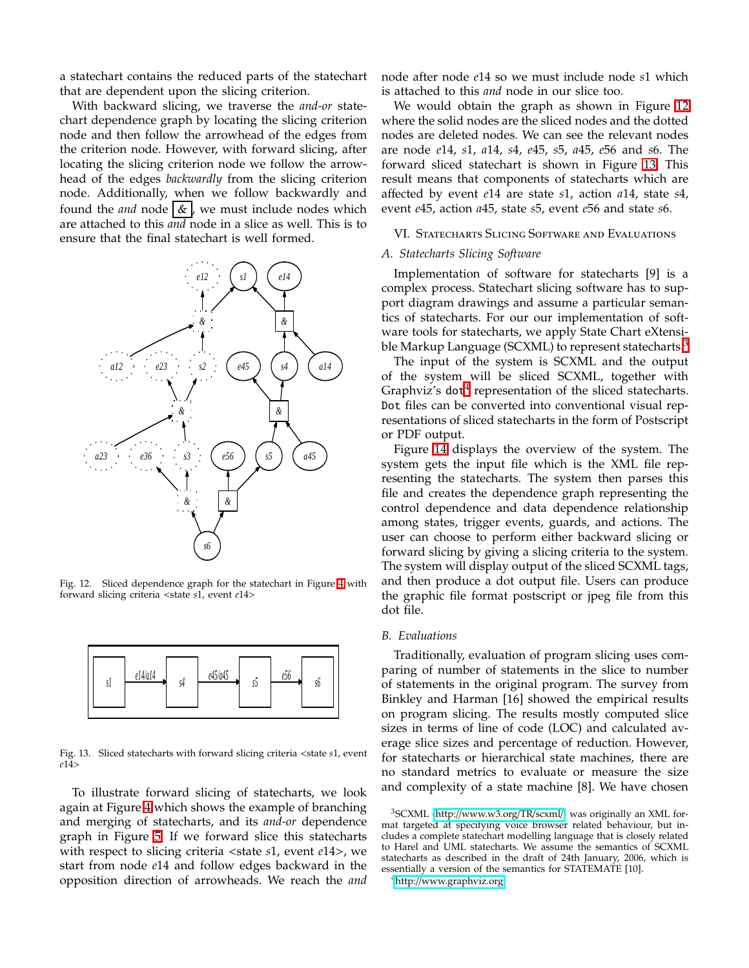a statechart contains the reduced parts of the statechart that are dependent upon the slicing criterion.

With backward slicing, we traverse the *and-or* statechart dependence graph by locating the slicing criterion node and then follow the arrowhead of the edges from the criterion node. However, with forward slicing, after locating the slicing criterion node we follow the arrowhead of the edges *backwardly* from the slicing criterion node. Additionally, when we follow backwardly and found the *and* node  $\&$ , we must include nodes which are attached to this *and* node in a slice as well. This is to ensure that the final statechart is well formed.



<span id="page-4-1"></span>Fig. 12. Sliced dependence graph for the statechart in Figure [4](#page-1-4) with forward slicing criteria <state *s*1, event *e*14>



<span id="page-4-2"></span>Fig. 13. Sliced statecharts with forward slicing criteria <state *s*1, event *e*14>

To illustrate forward slicing of statecharts, we look again at Figure [4](#page-1-4) which shows the example of branching and merging of statecharts, and its *and-or* dependence graph in Figure [5.](#page-1-5) If we forward slice this statecharts with respect to slicing criteria <state *s*1, event *e*14>, we start from node *e*14 and follow edges backward in the opposition direction of arrowheads. We reach the *and*

node after node *e*14 so we must include node *s*1 which is attached to this *and* node in our slice too.

We would obtain the graph as shown in Figure [12](#page-4-1) where the solid nodes are the sliced nodes and the dotted nodes are deleted nodes. We can see the relevant nodes are node *e*14, *s*1, *a*14, *s*4, *e*45, *s*5, *a*45, *e*56 and *s*6. The forward sliced statechart is shown in Figure [13.](#page-4-2) This result means that components of statecharts which are affected by event *e*14 are state *s*1, action *a*14, state *s*4, event *e*45, action *a*45, state *s*5, event *e*56 and state *s*6.

VI. Statecharts Slicing Software and Evaluations

## <span id="page-4-0"></span>*A. Statecharts Slicing Software*

Implementation of software for statecharts [9] is a complex process. Statechart slicing software has to support diagram drawings and assume a particular semantics of statecharts. For our our implementation of software tools for statecharts, we apply State Chart eXtensi-ble Markup Language (SCXML) to represent statecharts.<sup>[3](#page-4-3)</sup>

The input of the system is SCXML and the output of the system will be sliced SCXML, together with Graphviz's dot<sup>[4](#page-4-4)</sup> representation of the sliced statecharts. Dot files can be converted into conventional visual representations of sliced statecharts in the form of Postscript or PDF output.

Figure [14](#page-5-0) displays the overview of the system. The system gets the input file which is the XML file representing the statecharts. The system then parses this file and creates the dependence graph representing the control dependence and data dependence relationship among states, trigger events, guards, and actions. The user can choose to perform either backward slicing or forward slicing by giving a slicing criteria to the system. The system will display output of the sliced SCXML tags, and then produce a dot output file. Users can produce the graphic file format postscript or jpeg file from this dot file.

## *B. Evaluations*

Traditionally, evaluation of program slicing uses comparing of number of statements in the slice to number of statements in the original program. The survey from Binkley and Harman [16] showed the empirical results on program slicing. The results mostly computed slice sizes in terms of line of code (LOC) and calculated average slice sizes and percentage of reduction. However, for statecharts or hierarchical state machines, there are no standard metrics to evaluate or measure the size and complexity of a state machine [8]. We have chosen

<span id="page-4-4"></span><sup>4</sup>http://[www.graphviz.org](http://www.graphviz.org)

<span id="page-4-3"></span><sup>3</sup>SCXML (http://[www.w3.org](http://www.w3.org/TR/scxml/)/TR/scxml/) was originally an XML format targeted at specifying voice browser related behaviour, but includes a complete statechart modelling language that is closely related to Harel and UML statecharts. We assume the semantics of SCXML statecharts as described in the draft of 24th January, 2006, which is essentially a version of the semantics for STATEMATE [10].